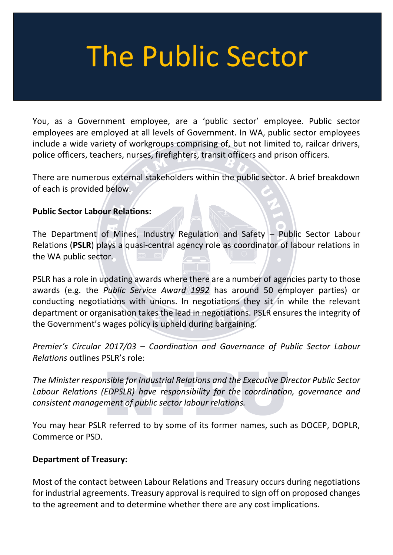# The Public Sector

You, as a Government employee, are a 'public sector' employee. Public sector employees are employed at all levels of Government. In WA, public sector employees include a wide variety of workgroups comprising of, but not limited to, railcar drivers, police officers, teachers, nurses, firefighters, transit officers and prison officers.

There are numerous external stakeholders within the public sector. A brief breakdown of each is provided below.

### **Public Sector Labour Relations:**

The Department of Mines, Industry Regulation and Safety – Public Sector Labour Relations (**PSLR**) plays a quasi-central agency role as coordinator of labour relations in the WA public sector.

PSLR has a role in updating awards where there are a number of agencies party to those awards (e.g. the *Public Service Award 1992* has around 50 employer parties) or conducting negotiations with unions. In negotiations they sit in while the relevant department or organisation takes the lead in negotiations. PSLR ensures the integrity of the Government's wages policy is upheld during bargaining.

*Premier's Circular 2017/03 – Coordination and Governance of Public Sector Labour Relations* outlines PSLR's role:

*The Minister responsible for Industrial Relations and the Executive Director Public Sector Labour Relations (EDPSLR) have responsibility for the coordination, governance and consistent management of public sector labour relations.*

You may hear PSLR referred to by some of its former names, such as DOCEP, DOPLR, Commerce or PSD.

## **Department of Treasury:**

Most of the contact between Labour Relations and Treasury occurs during negotiations for industrial agreements. Treasury approval is required to sign off on proposed changes to the agreement and to determine whether there are any cost implications.